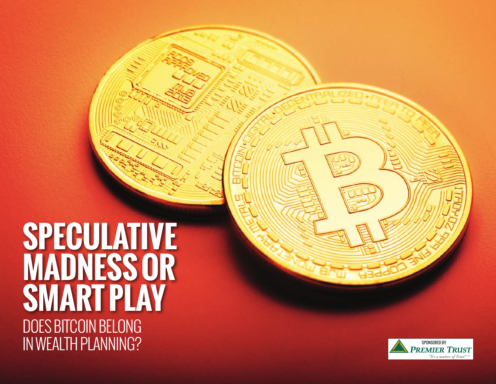# DOES BITCOIN BELONG IN WEALTH PLANNING? **SPECULATIVE MADNESS OR SMART PLAY**

 $\mathcal{L}_{\mathcal{L}}$ 

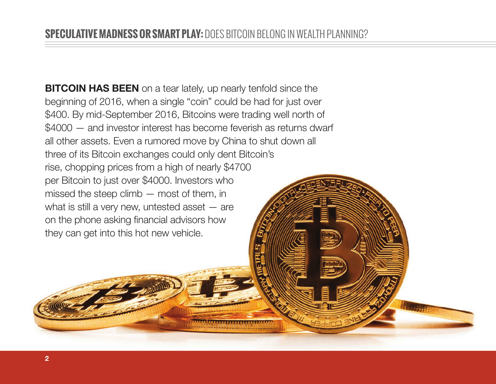**BITCOIN HAS BEEN** on a tear lately, up nearly tenfold since the beginning of 2016, when a single "coin" could be had for just over \$400. By mid-September 2016, Bitcoins were trading well north of \$4000 — and investor interest has become feverish as returns dwarf all other assets. Even a rumored move by China to shut down all three of its Bitcoin exchanges could only dent Bitcoin's rise, chopping prices from a high of nearly \$4700 per Bitcoin to just over \$4000. Investors who missed the steep climb — most of them, in what is still a very new, untested asset — are on the phone asking financial advisors how they can get into this hot new vehicle.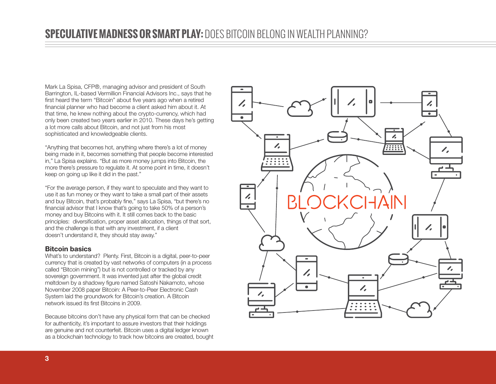Mark La Spisa, CFP®, managing advisor and president of South Barrington, IL-based Vermillion Financial Advisors Inc., says that he first heard the term "Bitcoin" about five years ago when a retired financial planner who had become a client asked him about it. At that time, he knew nothing about the crypto-currency, which had only been created two years earlier in 2010. These days he's getting a lot more calls about Bitcoin, and not just from his most sophisticated and knowledgeable clients.

"Anything that becomes hot, anything where there's a lot of money being made in it, becomes something that people become interested in," La Spisa explains. "But as more money jumps into Bitcoin, the more there's pressure to regulate it. At some point in time, it doesn't keep on going up like it did in the past."

"For the average person, if they want to speculate and they want to use it as fun money or they want to take a small part of their assets and buy Bitcoin, that's probably fine," says La Spisa, "but there's no financial advisor that I know that's going to take 50% of a person's money and buy Bitcoins with it. It still comes back to the basic principles: diversification, proper asset allocation, things of that sort, and the challenge is that with any investment, if a client doesn't understand it, they should stay away."

#### Bitcoin basics

What's to understand? Plenty. First, Bitcoin is a digital, peer-to-peer currency that is created by vast networks of computers (in a process called "Bitcoin mining") but is not controlled or tracked by any sovereign government. It was invented just after the global credit meltdown by a shadowy figure named Satoshi Nakamoto, whose November 2008 paper Bitcoin: A Peer-to-Peer Electronic Cash System laid the groundwork for Bitcoin's creation. A Bitcoin network issued its first Bitcoins in 2009.

Because bitcoins don't have any physical form that can be checked for authenticity, it's important to assure investors that their holdings are genuine and not counterfeit. Bitcoin uses a digital ledger known as a blockchain technology to track how bitcoins are created, bought

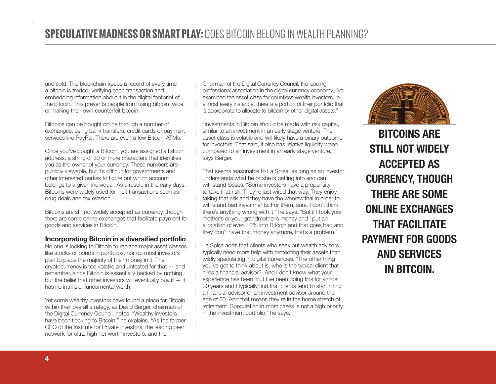and sold. The blockchain keeps a record of every time a bitcoin is traded, verifying each transaction and embedding information about it in the digital footprint of the bitcoin. This prevents people from using bitcoin twice or making their own counterfeit bitcoin.

Bitcoins can be bought online through a number of exchanges, using bank transfers, credit cards or payment services like PayPal. There are even a few Bitcoin ATMs.

Once you've bought a Bitcoin, you are assigned a Bitcoin address, a string of 30 or more characters that identifies you as the owner of your currency. These numbers are publicly viewable, but it's difficult for governments and other interested parties to figure out which account belongs to a given individual. As a result, in the early days, Bitcoins were widely used for illicit transactions such as drug deals and tax evasion.

Bitcoins are still not widely accepted as currency, though there are some online exchanges that facilitate payment for goods and services in Bitcoin.

#### Incorporating Bitcoin in a diversified portfolio

No one is looking to Bitcoin to replace major asset classes like stocks or bonds in portfolios, nor do most investors plan to place the majority of their money in it. The cryptocurrency is too volatile and untested for that — and remember, since Bitcoin is essentially backed by nothing but the belief that other investors will eventually buy it  $-$  it has no intrinsic, fundamental worth.

Yet some wealthy investors have found a place for Bitcoin within their overall strategy, as David Berger, chairman of the Digital Currency Council, notes. "Wealthy investors have been flocking to Bitcoin," he explains. "As the former CEO of the Institute for Private Investors, the leading peer network for ultra-high net worth investors, and the

Chairman of the Digital Currency Council, the leading professional association in the digital currency economy, I've examined the asset class for countless wealth investors. In almost every instance, there is a portion of their portfolio that is appropriate to allocate to bitcoin or other digital assets."

"Investments in Bitcoin should be made with risk capital, similar to an investment in an early stage venture. The asset class is volatile and will likely have a binary outcome for investors. That said, it also has relative liquidity when compared to an investment in an early stage venture," says Berger.

That seems reasonable to La Spisa, as long as an investor understands what he or she is getting into and can withstand losses. "Some investors have a propensity to take that risk. They're just wired that way. They enjoy taking that risk and they have the wherewithal in order to withstand bad investments. For them, sure. I don't think there's anything wrong with it," he says. "But if I took your mother's or your grandmother's money and I put an allocation of even 10% into Bitcoin and that goes bad and they don't have that money anymore, that's a problem."

La Spisa adds that clients who seek out wealth advisors typically need more help with protecting their assets than wildly speculating in digital currencies. "The other thing you've got to think about is, who is the typical client that hires a financial advisor? And I don't know what your experience has been, but I've been doing this for almost 30 years and I typically find that clients tend to start hiring a financial advisor or an investment advisor around the age of 50. And that means they're in the home stretch of retirement. Speculation in most cases is not a high priority in the investment portfolio," he says.



BITCOINS ARE STILL NOT WIDELY ACCEPTED AS CURRENCY, THOUGH THERE ARE SOME ONI INE EXCHANGES THAT FACILITATE PAYMENT FOR GOODS AND SERVICES IN BITCOIN.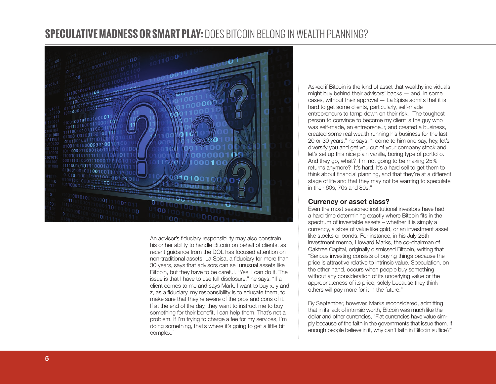## **SPECULATIVE MADNESS OR SMART PLAY:** DOES BITCOIN BELONG IN WEALTH PLANNING?



An advisor's fiduciary responsibility may also constrain his or her ability to handle Bitcoin on behalf of clients, as recent guidance from the DOL has focused attention on non-traditional assets. La Spisa, a fiduciary for more than 30 years, says that advisors can sell unusual assets like Bitcoin, but they have to be careful. "Yes, I can do it. The issue is that I have to use full disclosure," he says. "If a client comes to me and says Mark, I want to buy x, y and z, as a fiduciary, my responsibility is to educate them, to make sure that they're aware of the pros and cons of it. If at the end of the day, they want to instruct me to buy something for their benefit, I can help them. That's not a problem. If I'm trying to charge a fee for my services, I'm doing something, that's where it's going to get a little bit complex."

Asked if Bitcoin is the kind of asset that wealthy individuals might buy behind their advisors' backs — and, in some cases, without their approval — La Spisa admits that it is hard to get some clients, particularly, self-made entrepreneurs to tamp down on their risk. "The toughest person to convince to become my client is the guy who was self-made, an entrepreneur, and created a business, created some real wealth running his business for the last 20 or 30 years," he says. "I come to him and say, hey, let's diversify you and get you out of your company stock and let's set up this nice plain vanilla, boring type of portfolio. And they go, what? I'm not going to be making 25% returns anymore? It's hard. It's a hard sell to get them to think about financial planning, and that they're at a different stage of life and that they may not be wanting to speculate in their 60s, 70s and 80s."

#### Currency or asset class?

Even the most seasoned institutional investors have had a hard time determining exactly where Bitcoin fits in the spectrum of investable assets – whether it is simply a currency, a store of value like gold, or an investment asset like stocks or bonds. For instance, in his July 26th investment memo, Howard Marks, the co-chairman of Oaktree Capital, originally dismissed Bitcoin, writing that "Serious investing consists of buying things because the price is attractive relative to intrinsic value. Speculation, on the other hand, occurs when people buy something without any consideration of its underlying value or the appropriateness of its price, solely because they think others will pay more for it in the future."

By September, however, Marks reconsidered, admitting that in its lack of intrinsic worth, Bitcoin was much like the dollar and other currencies, "Fiat currencies have value sim ply because of the faith in the governments that issue them. If enough people believe in it, why can't faith in Bitcoin suffice?"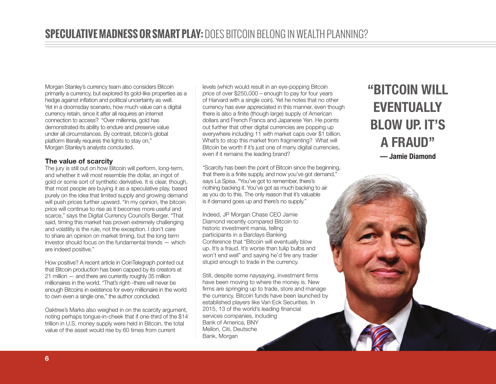Morgan Stanley's currency team also considers Bitcoin primarily a currency, but explored its gold-like properties as a hedge against inflation and political uncertainty as well. Yet in a doomsday scenario, how much value can a digital currency retain, since it after all requires an internet connection to access? "Over millennia, gold has demonstrated its ability to endure and preserve value under all circumstances. By contrast, bitcoin's global platform literally requires the lights to stay on," Morgan Stanley's analysts concluded.

#### The value of scarcity

The jury is still out on how Bitcoin will perform, long-term, and whether it will most resemble the dollar, an ingot of gold or some sort of synthetic derivative. It is clear, though, that most people are buying it as a speculative play, based purely on the idea that limited supply and growing demand will push prices further upward. "In my opinion, the bitcoin price will continue to rise as it becomes more useful and scarce," says the Digital Currency Council's Berger. "That said, timing this market has proven extremely challenging and volatility is the rule, not the exception. I don't care to share an opinion on market timing, but the long term investor should focus on the fundamental trends — which are indeed positive."

How positive? A recent article in CoinTelegraph pointed out that Bitcoin production has been capped by its creators at 21 million — and there are currently roughly 35 million millionaires in the world. "That's right--there will never be enough Bitcoins in existence for every millionaire in the world to own even a single one," the author concluded.

Oaktree's Marks also weighed in on the scarcity argument, noting perhaps tongue-in-cheek that if one-third of the \$14 trillion in U.S. money supply were held in Bitcoin, the total value of the asset would rise by 60 times from current

levels (which would result in an eye-popping Bitcoin price of over \$250,000 – enough to pay for four years of Harvard with a single coin). Yet he notes that no other currency has ever appreciated in this manner, even though there is also a finite (though large) supply of American dollars and French Francs and Japanese Yen. He points out further that other digital currencies are popping up everywhere including 11 with market caps over \$1 billion. What's to stop this market from fragmenting? What will Bitcoin be worth if it's just one of many digital currencies, even if it remains the leading brand?

"Scarcity has been the point of Bitcoin since the beginning, that there is a finite supply, and now you've got demand," says La Spisa. "You've got to remember, there's nothing backing it. You've got as much backing to air as you do to this. The only reason that it's valuable is if demand goes up and there's no supply."

Indeed, JP Morgan Chase CEO Jamie Diamond recently compared Bitcoin to historic investment mania, telling participants in a Barclays Banking Conference that "Bitcoin will eventually blow up. It's a fraud. It's worse than tulip bulbs and won't end well" and saying he'd fire any trader stupid enough to trade in the currency.

Still, despite some naysaying, investment firms have been moving to where the money is. New firms are springing up to trade, store and manage the currency. Bitcoin funds have been launched by established players like Van Eck Securities. In 2015, 13 of the world's leading financial services companies, including Bank of America, BNY Mellon, Citi, Deutsche Bank, Morgan

# "BITCOIN WILL **EVENTUALLY** BLOW UP. IT'S A FRAUD" — Jamie Diamond